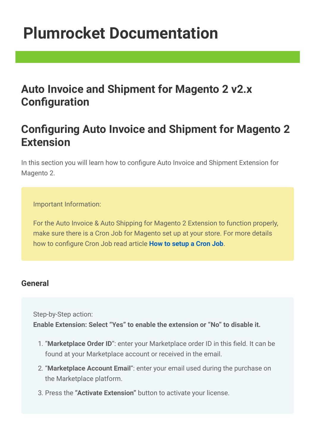# [Plumrocket Documentation](http://wiki2.plumserver.com/)

## Auto Invoice and Shipment for Magento 2 v2.x **Configuration**

# Configuring Auto Invoice and Shipment for Magento 2 Extension

In this section you will learn how to configure Auto Invoice and Shipment Extension for Magento 2.

Important Information:

For the Auto Invoice & Auto Shipping for Magento 2 Extension to function properly, make sure there is a Cron Job for Magento set up at your store. For more details how to configure Cron Job read article **[How to setup a Cron Job](http://wiki2.plumserver.com/how-to-setup-a-cron-job-in-magento-2)**.

### General

Step-by-Step action:

Enable Extension: Select "Yes" to enable the extension or "No" to disable it.

- 1. "Marketplace Order ID": enter your Marketplace order ID in this field. It can be found at your Marketplace account or received in the email.
- 2. "Marketplace Account Email": enter your email used during the purchase on the Marketplace platform.
- 3. Press the "Activate Extension" button to activate your license.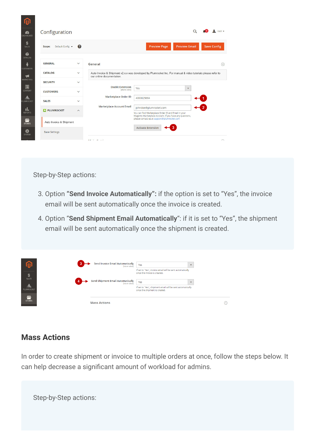| Configuration              |                         |                                         |                                                                                                                                          | Ω                    | $\mathbf{r}$ root $\mathbf{r}$ |
|----------------------------|-------------------------|-----------------------------------------|------------------------------------------------------------------------------------------------------------------------------------------|----------------------|--------------------------------|
| Default Config v<br>Scope: | Q                       |                                         | <b>Preview Page</b>                                                                                                                      | <b>Preview Email</b> | <b>Save Config</b>             |
| <b>GENERAL</b>             | $\checkmark$            | General                                 |                                                                                                                                          |                      |                                |
| <b>CATALOG</b>             | $\checkmark$            | our online documentation.               | Auto Invoice & Shipment v2.x.x was developed by Plumrocket Inc. For manual & video tutorials please refer to                             |                      |                                |
| <b>SECURITY</b>            | $\checkmark$            |                                         |                                                                                                                                          |                      |                                |
| <b>CUSTOMERS</b>           | $\checkmark$            | <b>Enable Extension</b><br>[store view] | Yes                                                                                                                                      | $\blacktriangledown$ |                                |
| <b>SALES</b>               | $\checkmark$            | <b>Marketplace Order ID</b>             | 4000025664                                                                                                                               |                      |                                |
| PLUMROCKET                 | $\widehat{\phantom{a}}$ | <b>Marketplace Account Email</b>        | johndoe@plumrocket.com<br>You can find Marketplace Order ID and Email in your<br>Magento Marketplace Account. If you have any questions, |                      | $\overline{2}$                 |
| Auto Invoice & Shipment    |                         |                                         | please contact us at support@plumrocket.com                                                                                              |                      |                                |
| <b>Base Settings</b>       |                         |                                         | <b>Activate Extension</b>                                                                                                                |                      |                                |
|                            |                         | $-$                                     |                                                                                                                                          |                      |                                |

Step-by-Step actions:

- 3. Option "Send Invoice Automatically": if the option is set to "Yes", the invoice email will be sent automatically once the invoice is created.
- 4. Option "Send Shipment Email Automatically": if it is set to "Yes", the shipment email will be sent automatically once the shipment is created.

| S                                  | <b>Send Invoice Email Automatically</b><br>[store view]  | Yes<br>$\overline{\phantom{a}}$<br>If set to "Yes", invoice email will be sent automatically<br>once the invoice is created.   |            |
|------------------------------------|----------------------------------------------------------|--------------------------------------------------------------------------------------------------------------------------------|------------|
| SALES<br><b>STAR</b><br>PLUMROCKET | <b>Send Shipment Email Automatically</b><br>[store view] | Yes<br>$\overline{\phantom{a}}$<br>If set to "Yes", shipment email will be sent automatically<br>once the shipment is created. |            |
| $\sqrt{m}$<br><b>STORES</b>        | <b>Mass Actions</b>                                      |                                                                                                                                | $(\wedge)$ |

### Mass Actions

In order to create shipment or invoice to multiple orders at once, follow the steps below. It can help decrease a significant amount of workload for admins.

| Step-by-Step actions: |  |  |
|-----------------------|--|--|
|                       |  |  |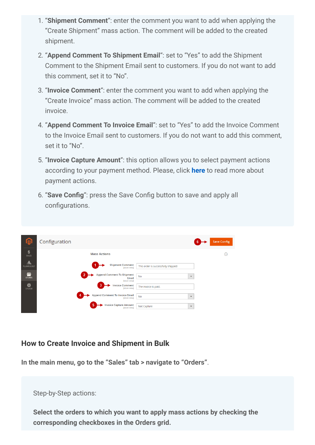- 1. "Shipment Comment": enter the comment you want to add when applying the "Create Shipment" mass action. The comment will be added to the created shipment.
- 2. "Append Comment To Shipment Email": set to "Yes" to add the Shipment Comment to the Shipment Email sent to customers. If you do not want to add this comment, set it to "No".
- 3. "Invoice Comment": enter the comment you want to add when applying the "Create Invoice" mass action. The comment will be added to the created invoice.
- 4. "Append Comment To Invoice Email": set to "Yes" to add the Invoice Comment to the Invoice Email sent to customers. If you do not want to add this comment, set it to "No".
- 5. "Invoice Capture Amount": this option allows you to select payment actions according to your payment method. Please, click [here](https://docs.magento.com/user-guide/sales/invoice-create.html#payment-actions) to read more about payment actions.
- 6. "Save Config": press the Save Config button to save and apply all configurations.

|                    | Configuration                                                              | 6                                    | <b>Save Config</b> |
|--------------------|----------------------------------------------------------------------------|--------------------------------------|--------------------|
| \$<br>SALES        | <b>Mass Actions</b>                                                        |                                      | ⊚                  |
| Ѧ<br>PLUMROCKET    | <b>Shipment Comment</b><br><b>Istore viewl</b>                             | This order is successfully shipped!  |                    |
| ▥<br><b>STORES</b> | <b>Append Comment To Shipment</b><br>$\mathbf{2}$<br>Email<br>[store view] | <b>No</b><br>$\overline{\mathbf{v}}$ |                    |
| ❖<br>SYSTEM        | 3<br><b>Invoice Comment</b><br>[store view]                                | The invoice is paid.                 |                    |
|                    | Append Comment To Invoice Email<br>4<br>[store view]                       | <b>No</b><br>$\blacktriangledown$    |                    |
|                    | 5<br><b>Invoice Capture Amount</b><br>[store view]                         | Not Capture<br>$\blacktriangledown$  |                    |

#### How to Create Invoice and Shipment in Bulk

In the main menu, go to the "Sales" tab > navigate to "Orders".

Step-by-Step actions:

Select the orders to which you want to apply mass actions by checking the corresponding checkboxes in the Orders grid.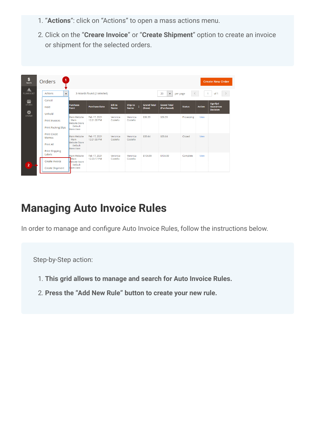- 1. "Actions": click on "Actions" to open a mass actions menu.
- 2. Click on the "Creare Invoice" or "Create Shipment" option to create an invoice or shipment for the selected orders.

| \$<br>SALES.                     | Orders                                                             |                                                                                |                              |                               |                        |                              |                                        |               |               | <b>Create New Order</b>                         |
|----------------------------------|--------------------------------------------------------------------|--------------------------------------------------------------------------------|------------------------------|-------------------------------|------------------------|------------------------------|----------------------------------------|---------------|---------------|-------------------------------------------------|
| Ѧ<br>PLUMROCKET                  | <b>Actions</b><br>$\blacktriangle$                                 |                                                                                | 3 records found (2 selected) |                               |                        |                              | 20<br>$\blacktriangledown$<br>per page | $\leq$        |               | of 1                                            |
| $\sqrt{4}$<br><b>STORES</b><br>✿ | Cancel<br>Hold                                                     | Purchase<br>Point                                                              | <b>Purchase Date</b>         | <b>Bill-to</b><br><b>Name</b> | Ship-to<br><b>Name</b> | <b>Grand Total</b><br>(Base) | <b>Grand Total</b><br>(Purchased)      | <b>Status</b> | <b>Action</b> | <b>Signifyd</b><br>Guarantee<br><b>Decision</b> |
| SYSTEM                           | Unhold<br><b>Print Invoices</b><br><b>Print Packing Slips</b>      | Main Website<br>Main<br><b>Website Store</b><br>Default<br>Store View          | Feb 17, 2021<br>12:21:33 PM  | Veronica<br>Costello          | Veronica<br>Costello   | \$36.39                      | \$36.39                                | Processing    | View          |                                                 |
|                                  | <b>Print Credit</b><br>Memos<br>Print All<br><b>Print Shipping</b> | Main Website<br>Main<br>Website Store<br>Default<br><b>Store View</b>          | Feb 17, 2021<br>12:21:33 PM  | Veronica<br>Costello          | Veronica<br>Costello   | \$39.64                      | \$39.64                                | Closed        | View          |                                                 |
| $\overline{2}$                   | Labels<br>Create Invoice<br>Create Shipment                        | Main Website<br><b>T</b> Main<br><b>Website Store</b><br>Default<br>Store View | Feb 17, 2021<br>12:23:17 PM  | Veronica<br>Costello          | Veronica<br>Costello   | \$104.59                     | \$104.59                               | Complete      | View          |                                                 |

## Managing Auto Invoice Rules

In order to manage and configure Auto Invoice Rules, follow the instructions below.

Step-by-Step action:

- 1. This grid allows to manage and search for Auto Invoice Rules.
- 2. Press the "Add New Rule" button to create your new rule.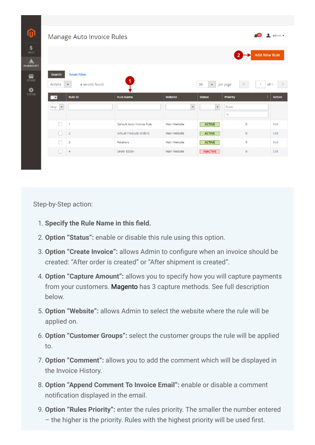|                                                         | Manage Auto Invoice Rules                                           |                                |                      |                          |                         | $\blacksquare$ admin $\blacktriangledown$<br>$\sim$ 13 |
|---------------------------------------------------------|---------------------------------------------------------------------|--------------------------------|----------------------|--------------------------|-------------------------|--------------------------------------------------------|
|                                                         |                                                                     |                                |                      |                          | $\overline{2}$          | <b>Add New Rule</b>                                    |
| Search<br>Actions                                       | <b>Reset Filter</b><br>4 records found<br>$\boldsymbol{\mathrm{v}}$ | $\mathbf{1}$                   |                      | 20<br>$\mathbf{v}$       | per page<br>$\leq$      | of 1<br>$\mathbf{1}$                                   |
|                                                         | <b>Rule ID</b>                                                      | <b>Rule Name</b>               | Website              | <b>Status</b>            |                         | <b>Action</b>                                          |
| $\overline{\phantom{a}}$<br>$\blacktriangledown$<br>Any |                                                                     |                                | $\blacktriangledown$ | $\overline{\phantom{a}}$ | <b>Priority</b><br>From |                                                        |
|                                                         |                                                                     |                                |                      |                          | To                      |                                                        |
| n                                                       | $\mathbf{1}$                                                        | Default Auto Invoice Rule      | Main Website         | <b>ACTIVE</b>            | $\Omega$                | Edit                                                   |
| H                                                       | $\overline{2}$                                                      | <b>Virtual Products Orders</b> | Main Website         | <b>ACTIVE</b>            | $\circ$                 | Edit                                                   |
| -1                                                      | 3                                                                   | Retailers                      | Main Website         | <b>ACTIVE</b>            | $\overline{0}$          | Edit                                                   |

Step-by-Step action:

- 1. Specify the Rule Name in this field.
- 2. Option "Status": enable or disable this rule using this option.
- 3. Option "Create Invoice": allows Admin to configure when an invoice should be created: "After order is created" or "After shipment is created".
- 4. Option "Capture Amount": allows you to specify how you will capture payments from your customers. Magento has 3 capture methods. See full description below.
- 5. Option "Website": allows Admin to select the website where the rule will be applied on.
- 6. Option "Customer Groups": select the customer groups the rule will be applied to.
- 7. Option "Comment": allows you to add the comment which will be displayed in the Invoice History.
- 8. Option "Append Comment To Invoice Email": enable or disable a comment notification displayed in the email.
- 9. Option "Rules Priority": enter the rules priority. The smaller the number entered – the higher is the priority. Rules with the highest priority will be used first.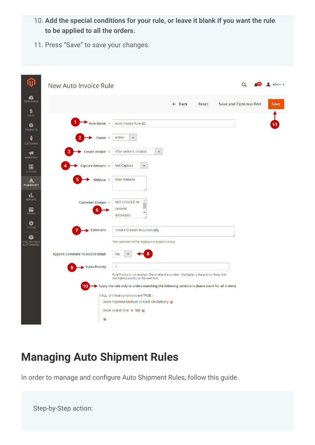- 10. Add the special conditions for your rule, or leave it blank if you want the rule to be applied to all the orders.
- 11. Press "Save" to save your changes.

| £<br><b>DASHBOARD</b><br><b>Save and Continue Edit</b><br>$\leftarrow$ Back<br>Reset<br>\$                                                                               | Save |
|--------------------------------------------------------------------------------------------------------------------------------------------------------------------------|------|
| SALES<br>Auto Invoice Rule #2<br>Rule Name *<br>Ŵ<br><b>PRODUCTS</b>                                                                                                     |      |
| Active<br>Status $\star$<br>$\blacktriangledown$<br><b>CUSTOMERS</b>                                                                                                     |      |
| Create Invoice *<br>After order is created<br>$\blacktriangledown$<br>R<br><b>MARKETING</b>                                                                              |      |
| Capture Amount *<br>Not Capture<br>$\blacktriangledown$<br>同<br><b>CONTENT</b>                                                                                           |      |
| Website *<br>Main Website<br><b>PLUMROCKET</b>                                                                                                                           |      |
| ıl.<br><b>REPORTS</b><br><b>NOT LOGGED IN</b><br>Customer Groups *<br>General<br>▥<br><b>STORES</b><br>Wholesale                                                         |      |
| o<br><b>SYSTEM</b><br>Comment<br><b>Invoice Created Automatically</b>                                                                                                    |      |
| <b>FIND PARTNERS</b><br>This comment will be displayed in Invoice History.<br>& EXTENSIONS                                                                               |      |
| <b>Append Comment To Invoice Email</b><br>Yes                                                                                                                            |      |
| <b>Rules Priority</b><br>1<br>Rule Priority is not required. The smaller the number - the higher is the priority. Rules with<br>the highest priority will be used first. |      |
| Apply the rule only to orders matching the following conditions (leave blank for all orders)<br>10                                                                       |      |
| If ALL of these conditions are TRUE :                                                                                                                                    |      |
| Order Payment Method is Cash On Delivery @                                                                                                                               |      |
| Order Grand Total is 500 @                                                                                                                                               |      |
| $\bigoplus$                                                                                                                                                              |      |

# Managing Auto Shipment Rules

In order to manage and configure Auto Shipment Rules, follow this guide.

Step-by-Step action: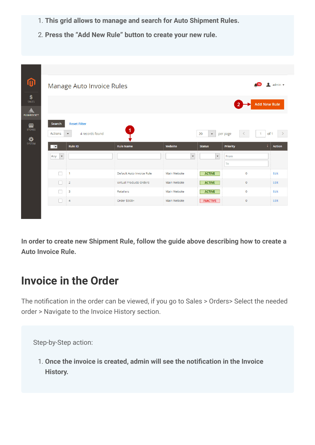- 1. This grid allows to manage and search for Auto Shipment Rules.
- 2. Press the "Add New Rule" button to create your new rule.

| $\boldsymbol{0}$                                         |                                                                                                                     | Manage Auto Invoice Rules                                   |              |                                     | (13)                                                    | $\lambda$ admin $\star$                |
|----------------------------------------------------------|---------------------------------------------------------------------------------------------------------------------|-------------------------------------------------------------|--------------|-------------------------------------|---------------------------------------------------------|----------------------------------------|
| $\frac{\mathsf{S}}{\mathsf{SALES}}$<br><b>PLUMROCKET</b> |                                                                                                                     |                                                             |              |                                     |                                                         | <b>Add New Rule</b>                    |
| 個<br><b>STORES</b><br>₩<br><b>SYSTEM</b>                 | <b>Reset Filter</b><br>Search<br>Actions<br>$\boldsymbol{\mathrm{v}}$<br><b>Rule ID</b><br>$\overline{\phantom{a}}$ | $\blacktriangleleft$<br>4 records found<br><b>Rule Name</b> | Website      | 20<br>$\mathbf{v}$<br><b>Status</b> | $\overline{1}$<br>per page<br>$\leq$<br><b>Priority</b> | of 1<br>$\rightarrow$<br><b>Action</b> |
|                                                          | Any<br>$\boldsymbol{\mathrm{v}}$                                                                                    |                                                             | $\mathbf{v}$ | $\blacktriangledown$                | From<br>To                                              |                                        |
|                                                          | П<br>$\mathbf{1}$                                                                                                   | Default Auto Invoice Rule                                   | Main Website | <b>ACTIVE</b>                       | $\circ$                                                 | Edit                                   |
|                                                          | П<br>$\overline{2}$                                                                                                 | <b>Virtual Products Orders</b>                              | Main Website | <b>ACTIVE</b>                       | $\circ$                                                 | Edit                                   |
|                                                          | п<br>$\overline{\mathbf{3}}$                                                                                        | <b>Retailers</b>                                            | Main Website | <b>ACTIVE</b>                       | $\overline{0}$                                          | Edit                                   |
|                                                          | $\overline{4}$                                                                                                      | Order \$500+                                                | Main Website | <b>INACTIVE</b>                     | $\circ$                                                 | Edit                                   |

In order to create new Shipment Rule, follow the guide above describing how to create a Auto Invoice Rule.

### Invoice in the Order

The notification in the order can be viewed, if you go to Sales > Orders> Select the needed order > Navigate to the Invoice History section.

Step-by-Step action:

1. Once the invoice is created, admin will see the notification in the Invoice History.